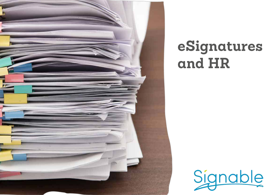

# eSignatures and HR

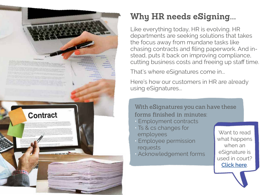

## **Why HR needs eSigning...**

Like everything today, HR is evolving. HR departments are seeking solutions that takes the focus away from mundane tasks like chasing contracts and filing paperwork. And instead, puts it back on improving compliance, cutting business costs and freeing up staff time.

That's where eSignatures come in...

Here's how our customers in HR are already using eSignatures...

With eSignatures you can have these forms finished in minutes:

- Employment contracts
- Ts & cs changes for employees
- Employee permission requests
- Acknowledgement forms

Want to read what happens when an eSignature is used in court? **Click here**.

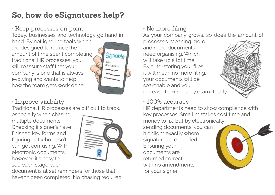## **So, how do eSignatures help?**

• Keep processes on point Today, businesses and technology go hand in hand. By not ignoring tools which are designed to reduce the amount of time spent completing Signable traditional HR processes, you Your locuments will reassure staff that your company is one that is always evolving and wants to help how the team gets work done.

#### • Improve visibility

Traditional HR processes are difficult to track,

especially when chasing multiple documents. Checking if signer's have finished key forms and figuring out who hasn't can get confusing. With electronic documents, however, it's easy to see each stage each



document is at set reminders for those that haven't been completed. No chasing required. • No more filing

As your company grows, so does the amount of

processes. Meaning more and more documents need organising. Which will take up a lot time. By auto-storing your files it will mean no more filing, your documents will be searchable and you increase their security dramatically.



• 100% accuracy

HR departments need to show compliance with key processes. Small mistakes cost time and money to fix. But by electronically sending documents, you can highlight exactly where signatures are needed. Ensuring your documents are returned correct, with no amendments for your signer.